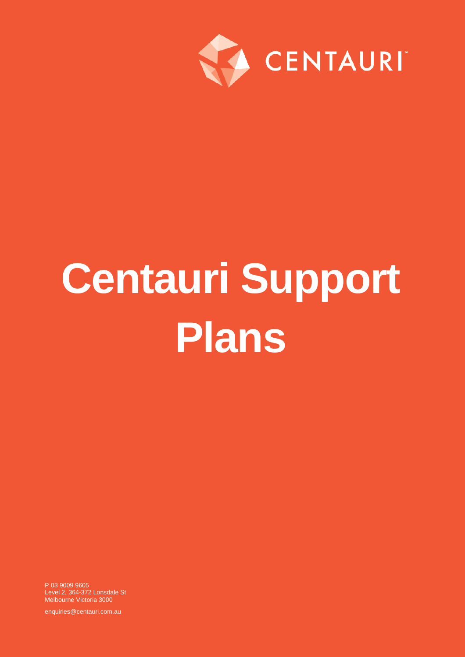

# **Centauri Support Plans**

P 03 9009 9605 Level 2, 364-372 Lonsdale St Melbourne Victoria 3000

enquiries@centauri.com.au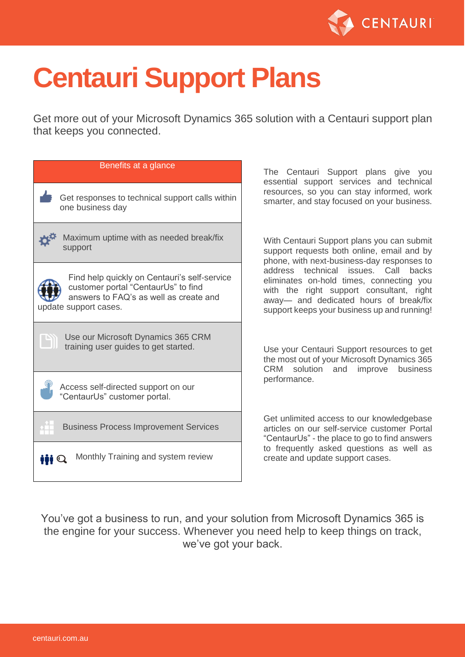

# **Centauri Support Plans**

Get more out of your Microsoft Dynamics 365 solution with a Centauri support plan that keeps you connected.

| Benefits at a glance                                                                                                                                   | The Centauri Support plans give you<br>essential support services and technical<br>resources, so you can stay informed, work<br>smarter, and stay focused on your business.                                                    |  |
|--------------------------------------------------------------------------------------------------------------------------------------------------------|--------------------------------------------------------------------------------------------------------------------------------------------------------------------------------------------------------------------------------|--|
| Get responses to technical support calls within<br>one business day                                                                                    |                                                                                                                                                                                                                                |  |
| Maximum uptime with as needed break/fix<br>support                                                                                                     | With Centauri Support plans you can submit<br>support requests both online, email and by<br>phone, with next-business-day responses to                                                                                         |  |
| Find help quickly on Centauri's self-service<br>customer portal "CentaurUs" to find<br>answers to FAQ's as well as create and<br>update support cases. | technical issues.<br>Call<br>backs<br>address<br>eliminates on-hold times, connecting you<br>with the right support consultant, right<br>away- and dedicated hours of break/fix<br>support keeps your business up and running! |  |
| Use our Microsoft Dynamics 365 CRM<br>training user guides to get started.                                                                             | Use your Centauri Support resources to get<br>the most out of your Microsoft Dynamics 365<br>solution<br>improve<br>CRM<br>and<br>business<br>performance.                                                                     |  |
| Access self-directed support on our<br>"CentaurUs" customer portal.                                                                                    |                                                                                                                                                                                                                                |  |
| <b>Business Process Improvement Services</b>                                                                                                           | Get unlimited access to our knowledgebase<br>articles on our self-service customer Portal<br>"CentaurUs" - the place to go to find answers                                                                                     |  |
| Monthly Training and system review                                                                                                                     | to frequently asked questions as well as<br>create and update support cases.                                                                                                                                                   |  |

You've got a business to run, and your solution from Microsoft Dynamics 365 is the engine for your success. Whenever you need help to keep things on track, we've got your back.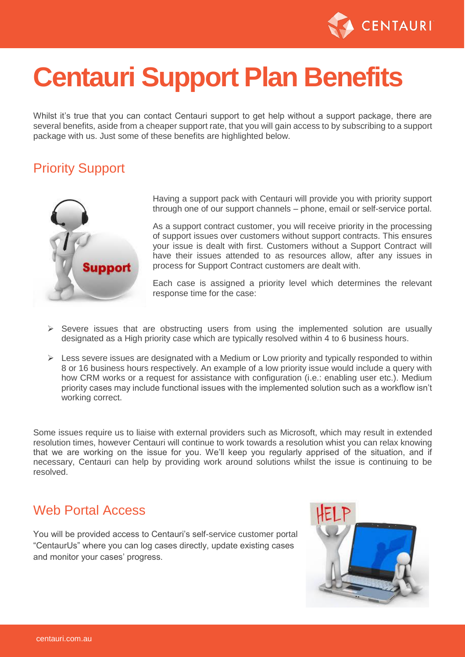

### **Centauri Support Plan Benefits**

Whilst it's true that you can contact Centauri support to get help without a support package, there are several benefits, aside from a cheaper support rate, that you will gain access to by subscribing to a support package with us. Just some of these benefits are highlighted below.

#### Priority Support



Having a support pack with Centauri will provide you with priority support through one of our support channels – phone, email or self-service portal.

As a support contract customer, you will receive priority in the processing of support issues over customers without support contracts. This ensures your issue is dealt with first. Customers without a Support Contract will have their issues attended to as resources allow, after any issues in process for Support Contract customers are dealt with.

Each case is assigned a priority level which determines the relevant response time for the case:

- $\triangleright$  Severe issues that are obstructing users from using the implemented solution are usually designated as a High priority case which are typically resolved within 4 to 6 business hours.
- $\triangleright$  Less severe issues are designated with a Medium or Low priority and typically responded to within 8 or 16 business hours respectively. An example of a low priority issue would include a query with how CRM works or a request for assistance with configuration (i.e.: enabling user etc.). Medium priority cases may include functional issues with the implemented solution such as a workflow isn't working correct.

Some issues require us to liaise with external providers such as Microsoft, which may result in extended resolution times, however Centauri will continue to work towards a resolution whist you can relax knowing that we are working on the issue for you. We'll keep you regularly apprised of the situation, and if necessary, Centauri can help by providing work around solutions whilst the issue is continuing to be resolved.

#### Web Portal Access

You will be provided access to Centauri's self-service customer portal "CentaurUs" where you can log cases directly, update existing cases and monitor your cases' progress.

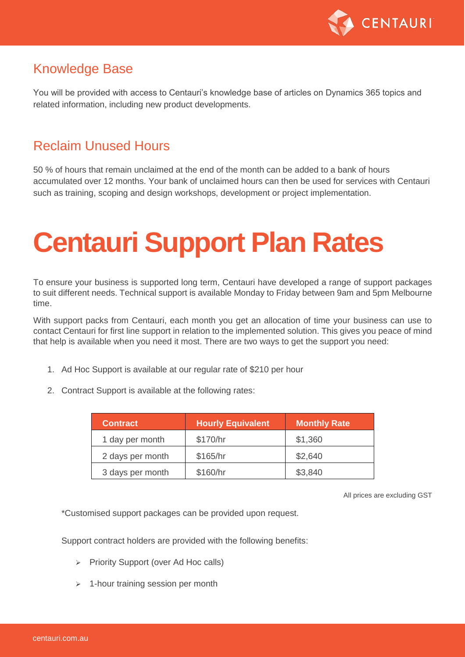

#### Knowledge Base

You will be provided with access to Centauri's knowledge base of articles on Dynamics 365 topics and related information, including new product developments.

#### Reclaim Unused Hours

50 % of hours that remain unclaimed at the end of the month can be added to a bank of hours accumulated over 12 months. Your bank of unclaimed hours can then be used for services with Centauri such as training, scoping and design workshops, development or project implementation.

## **Centauri Support Plan Rates**

To ensure your business is supported long term, Centauri have developed a range of support packages to suit different needs. Technical support is available Monday to Friday between 9am and 5pm Melbourne time.

With support packs from Centauri, each month you get an allocation of time your business can use to contact Centauri for first line support in relation to the implemented solution. This gives you peace of mind that help is available when you need it most. There are two ways to get the support you need:

- 1. Ad Hoc Support is available at our regular rate of \$210 per hour
- 2. Contract Support is available at the following rates:

| <b>Contract</b>  | <b>Hourly Equivalent</b> | <b>Monthly Rate</b> |
|------------------|--------------------------|---------------------|
| 1 day per month  | \$170/hr                 | \$1,360             |
| 2 days per month | \$165/hr                 | \$2,640             |
| 3 days per month | \$160/hr                 | \$3,840             |

All prices are excluding GST

\*Customised support packages can be provided upon request.

Support contract holders are provided with the following benefits:

- ➢ Priority Support (over Ad Hoc calls)
- ➢ 1-hour training session per month